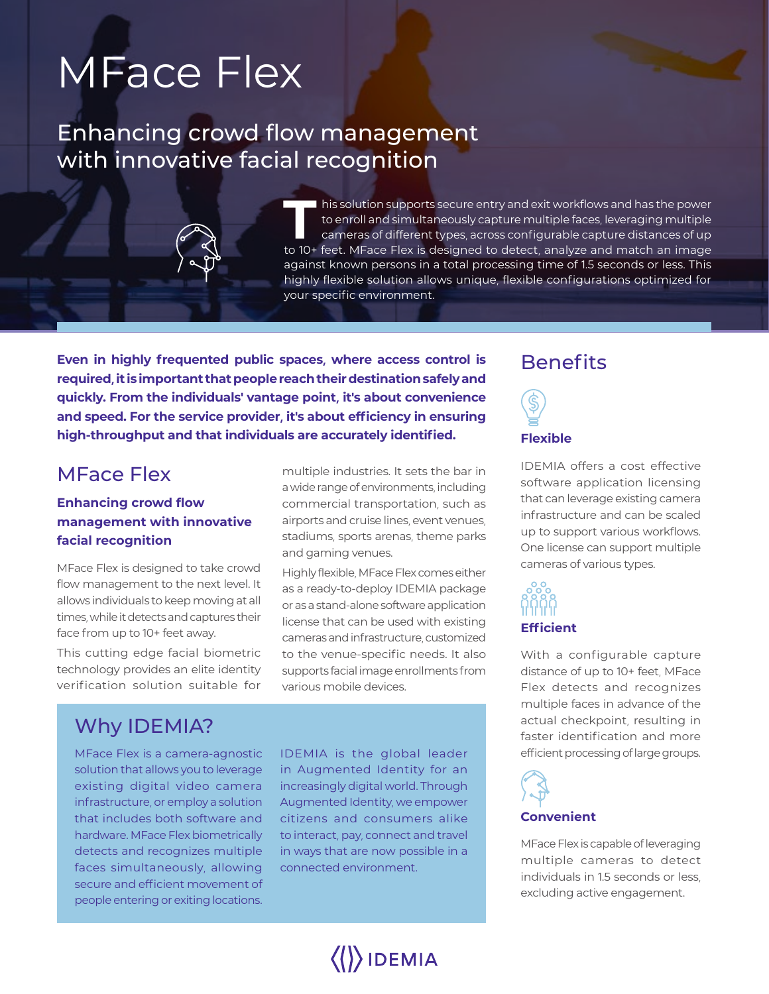# MFace Flex

## Enhancing crowd flow management with innovative facial recognition

**T** his solution supports secure entry and exit workflows and has the power to enroll and simultaneously capture multiple faces, leveraging multiple cameras of different types, across configurable capture distances of up to 10+ feet. MFace Flex is designed to detect, analyze and match an image against known persons in a total processing time of 1.5 seconds or less. This highly flexible solution allows unique, flexible configurations optimized for your specific environment.

**Even in highly frequented public spaces, where access control is required, it is important that people reach their destination safely and quickly. From the individuals' vantage point, it's about convenience and speed. For the service provider, it's about efficiency in ensuring high-throughput and that individuals are accurately identified.** Flexible

## MFace Flex

### **Enhancing crowd flow management with innovative facial recognition**

MFace Flex is designed to take crowd flow management to the next level. It allows individuals to keep moving at all times, while it detects and captures their face from up to 10+ feet away.

This cutting edge facial biometric technology provides an elite identity verification solution suitable for

## Why IDEMIA?

MFace Flex is a camera-agnostic solution that allows you to leverage existing digital video camera infrastructure, or employ a solution that includes both software and hardware. MFace Flex biometrically detects and recognizes multiple faces simultaneously, allowing secure and efficient movement of people entering or exiting locations.

multiple industries. It sets the bar in a wide range of environments, including commercial transportation, such as airports and cruise lines, event venues, stadiums, sports arenas, theme parks and gaming venues.

Highly flexible, MFace Flex comes either as a ready-to-deploy IDEMIA package or as a stand-alone software application license that can be used with existing cameras and infrastructure, customized to the venue-specific needs. It also supports facial image enrollments from various mobile devices.

IDEMIA is the global leader in Augmented Identity for an increasingly digital world. Through Augmented Identity, we empower citizens and consumers alike to interact, pay, connect and travel in ways that are now possible in a connected environment.

## **Benefits**



IDEMIA offers a cost effective software application licensing that can leverage existing camera infrastructure and can be scaled up to support various workflows. One license can support multiple cameras of various types.

# **Efficient**

With a configurable capture distance of up to 10+ feet, MFace Flex detects and recognizes multiple faces in advance of the actual checkpoint, resulting in faster identification and more efficient processing of large groups.



MFace Flex is capable of leveraging multiple cameras to detect individuals in 1.5 seconds or less, excluding active engagement.